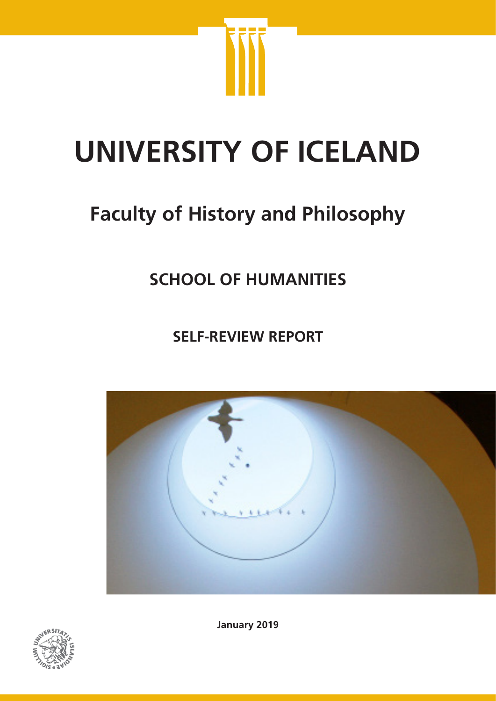

# **UNIVERSITY OF ICELAND**

## **Faculty of History and Philosophy**

## **SCHOOL OF HUMANITIES**

**SELF-REVIEW REPORT**





**January 2019**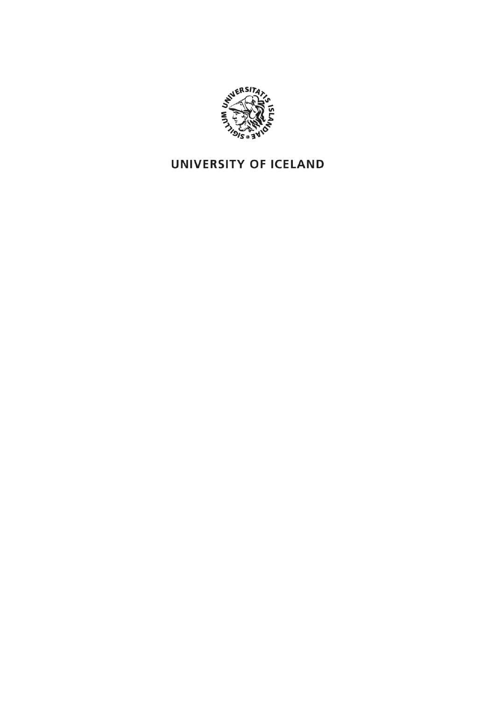

## UNIVERSITY OF ICELAND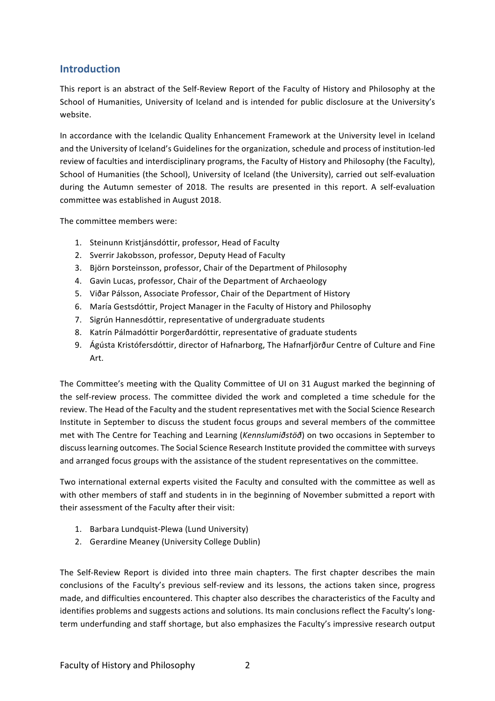#### **Introduction**

This report is an abstract of the Self-Review Report of the Faculty of History and Philosophy at the School of Humanities, University of Iceland and is intended for public disclosure at the University's website.

In accordance with the Icelandic Quality Enhancement Framework at the University level in Iceland and the University of Iceland's Guidelines for the organization, schedule and process of institution-led review of faculties and interdisciplinary programs, the Faculty of History and Philosophy (the Faculty), School of Humanities (the School), University of Iceland (the University), carried out self-evaluation during the Autumn semester of 2018. The results are presented in this report. A self-evaluation committee was established in August 2018.

The committee members were:

- 1. Steinunn Kristjánsdóttir, professor, Head of Faculty
- 2. Sverrir Jakobsson, professor, Deputy Head of Faculty
- 3. Björn Þorsteinsson, professor, Chair of the Department of Philosophy
- 4. Gavin Lucas, professor, Chair of the Department of Archaeology
- 5. Viðar Pálsson, Associate Professor, Chair of the Department of History
- 6. María Gestsdóttir, Project Manager in the Faculty of History and Philosophy
- 7. Sigrún Hannesdóttir, representative of undergraduate students
- 8. Katrín Pálmadóttir Þorgerðardóttir, representative of graduate students
- 9. Ágústa Kristófersdóttir, director of Hafnarborg, The Hafnarfjörður Centre of Culture and Fine Art.

The Committee's meeting with the Quality Committee of UI on 31 August marked the beginning of the self-review process. The committee divided the work and completed a time schedule for the review. The Head of the Faculty and the student representatives met with the Social Science Research Institute in September to discuss the student focus groups and several members of the committee met with The Centre for Teaching and Learning (*Kennslumiðstöð*) on two occasions in September to discuss learning outcomes. The Social Science Research Institute provided the committee with surveys and arranged focus groups with the assistance of the student representatives on the committee.

Two international external experts visited the Faculty and consulted with the committee as well as with other members of staff and students in in the beginning of November submitted a report with their assessment of the Faculty after their visit:

- 1. Barbara Lundquist-Plewa (Lund University)
- 2. Gerardine Meaney (University College Dublin)

The Self-Review Report is divided into three main chapters. The first chapter describes the main conclusions of the Faculty's previous self-review and its lessons, the actions taken since, progress made, and difficulties encountered. This chapter also describes the characteristics of the Faculty and identifies problems and suggests actions and solutions. Its main conclusions reflect the Faculty's longterm underfunding and staff shortage, but also emphasizes the Faculty's impressive research output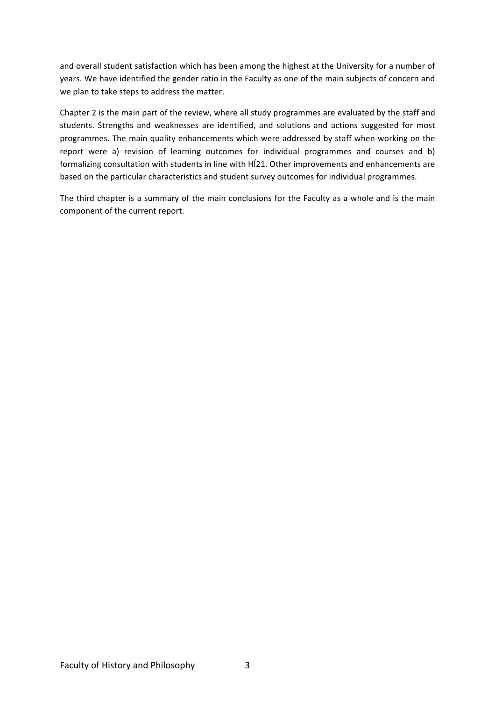and overall student satisfaction which has been among the highest at the University for a number of years. We have identified the gender ratio in the Faculty as one of the main subjects of concern and we plan to take steps to address the matter.

Chapter 2 is the main part of the review, where all study programmes are evaluated by the staff and students. Strengths and weaknesses are identified, and solutions and actions suggested for most programmes. The main quality enhancements which were addressed by staff when working on the report were a) revision of learning outcomes for individual programmes and courses and b) formalizing consultation with students in line with HÍ21. Other improvements and enhancements are based on the particular characteristics and student survey outcomes for individual programmes.

The third chapter is a summary of the main conclusions for the Faculty as a whole and is the main component of the current report.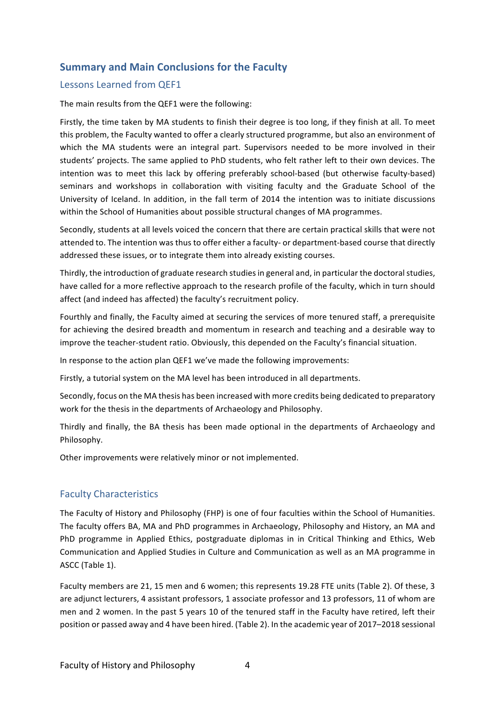#### **Summary and Main Conclusions for the Faculty**

#### Lessons Learned from OEF1

The main results from the QEF1 were the following:

Firstly, the time taken by MA students to finish their degree is too long, if they finish at all. To meet this problem, the Faculty wanted to offer a clearly structured programme, but also an environment of which the MA students were an integral part. Supervisors needed to be more involved in their students' projects. The same applied to PhD students, who felt rather left to their own devices. The intention was to meet this lack by offering preferably school-based (but otherwise faculty-based) seminars and workshops in collaboration with visiting faculty and the Graduate School of the University of Iceland. In addition, in the fall term of 2014 the intention was to initiate discussions within the School of Humanities about possible structural changes of MA programmes.

Secondly, students at all levels voiced the concern that there are certain practical skills that were not attended to. The intention was thus to offer either a faculty- or department-based course that directly addressed these issues, or to integrate them into already existing courses.

Thirdly, the introduction of graduate research studies in general and, in particular the doctoral studies, have called for a more reflective approach to the research profile of the faculty, which in turn should affect (and indeed has affected) the faculty's recruitment policy.

Fourthly and finally, the Faculty aimed at securing the services of more tenured staff, a prerequisite for achieving the desired breadth and momentum in research and teaching and a desirable way to improve the teacher-student ratio. Obviously, this depended on the Faculty's financial situation.

In response to the action plan QEF1 we've made the following improvements:

Firstly, a tutorial system on the MA level has been introduced in all departments.

Secondly, focus on the MA thesis has been increased with more credits being dedicated to preparatory work for the thesis in the departments of Archaeology and Philosophy.

Thirdly and finally, the BA thesis has been made optional in the departments of Archaeology and Philosophy.

Other improvements were relatively minor or not implemented.

#### Faculty Characteristics

The Faculty of History and Philosophy (FHP) is one of four faculties within the School of Humanities. The faculty offers BA, MA and PhD programmes in Archaeology, Philosophy and History, an MA and PhD programme in Applied Ethics, postgraduate diplomas in in Critical Thinking and Ethics, Web Communication and Applied Studies in Culture and Communication as well as an MA programme in ASCC (Table 1).

Faculty members are 21, 15 men and 6 women; this represents 19.28 FTE units (Table 2). Of these, 3 are adjunct lecturers, 4 assistant professors, 1 associate professor and 13 professors, 11 of whom are men and 2 women. In the past 5 years 10 of the tenured staff in the Faculty have retired, left their position or passed away and 4 have been hired. (Table 2). In the academic year of 2017–2018 sessional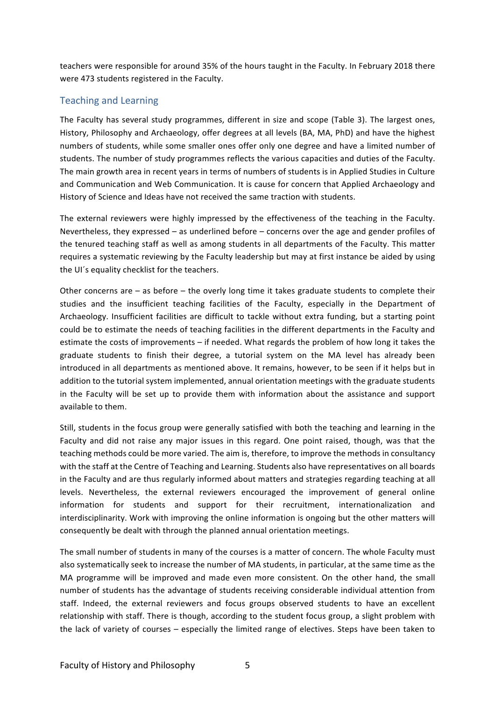teachers were responsible for around 35% of the hours taught in the Faculty. In February 2018 there were 473 students registered in the Faculty.

#### Teaching and Learning

The Faculty has several study programmes, different in size and scope (Table 3). The largest ones, History, Philosophy and Archaeology, offer degrees at all levels (BA, MA, PhD) and have the highest numbers of students, while some smaller ones offer only one degree and have a limited number of students. The number of study programmes reflects the various capacities and duties of the Faculty. The main growth area in recent years in terms of numbers of students is in Applied Studies in Culture and Communication and Web Communication. It is cause for concern that Applied Archaeology and History of Science and Ideas have not received the same traction with students.

The external reviewers were highly impressed by the effectiveness of the teaching in the Faculty. Nevertheless, they expressed – as underlined before – concerns over the age and gender profiles of the tenured teaching staff as well as among students in all departments of the Faculty. This matter requires a systematic reviewing by the Faculty leadership but may at first instance be aided by using the UI's equality checklist for the teachers.

Other concerns are  $-$  as before  $-$  the overly long time it takes graduate students to complete their studies and the insufficient teaching facilities of the Faculty, especially in the Department of Archaeology. Insufficient facilities are difficult to tackle without extra funding, but a starting point could be to estimate the needs of teaching facilities in the different departments in the Faculty and estimate the costs of improvements  $-$  if needed. What regards the problem of how long it takes the graduate students to finish their degree, a tutorial system on the MA level has already been introduced in all departments as mentioned above. It remains, however, to be seen if it helps but in addition to the tutorial system implemented, annual orientation meetings with the graduate students in the Faculty will be set up to provide them with information about the assistance and support available to them.

Still, students in the focus group were generally satisfied with both the teaching and learning in the Faculty and did not raise any major issues in this regard. One point raised, though, was that the teaching methods could be more varied. The aim is, therefore, to improve the methods in consultancy with the staff at the Centre of Teaching and Learning. Students also have representatives on all boards in the Faculty and are thus regularly informed about matters and strategies regarding teaching at all levels. Nevertheless, the external reviewers encouraged the improvement of general online information for students and support for their recruitment, internationalization and interdisciplinarity. Work with improving the online information is ongoing but the other matters will consequently be dealt with through the planned annual orientation meetings.

The small number of students in many of the courses is a matter of concern. The whole Faculty must also systematically seek to increase the number of MA students, in particular, at the same time as the MA programme will be improved and made even more consistent. On the other hand, the small number of students has the advantage of students receiving considerable individual attention from staff. Indeed, the external reviewers and focus groups observed students to have an excellent relationship with staff. There is though, according to the student focus group, a slight problem with the lack of variety of courses – especially the limited range of electives. Steps have been taken to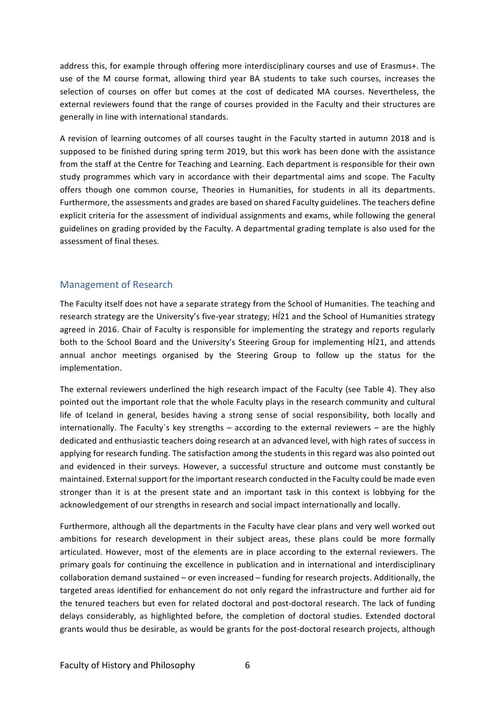address this, for example through offering more interdisciplinary courses and use of Erasmus+. The use of the M course format, allowing third year BA students to take such courses, increases the selection of courses on offer but comes at the cost of dedicated MA courses. Nevertheless, the external reviewers found that the range of courses provided in the Faculty and their structures are generally in line with international standards.

A revision of learning outcomes of all courses taught in the Faculty started in autumn 2018 and is supposed to be finished during spring term 2019, but this work has been done with the assistance from the staff at the Centre for Teaching and Learning. Each department is responsible for their own study programmes which vary in accordance with their departmental aims and scope. The Faculty offers though one common course, Theories in Humanities, for students in all its departments. Furthermore, the assessments and grades are based on shared Faculty guidelines. The teachers define explicit criteria for the assessment of individual assignments and exams, while following the general guidelines on grading provided by the Faculty. A departmental grading template is also used for the assessment of final theses.

#### Management of Research

The Faculty itself does not have a separate strategy from the School of Humanities. The teaching and research strategy are the University's five-year strategy; Hi21 and the School of Humanities strategy agreed in 2016. Chair of Faculty is responsible for implementing the strategy and reports regularly both to the School Board and the University's Steering Group for implementing HÍ21, and attends annual anchor meetings organised by the Steering Group to follow up the status for the implementation.

The external reviewers underlined the high research impact of the Faculty (see Table 4). They also pointed out the important role that the whole Faculty plays in the research community and cultural life of Iceland in general, besides having a strong sense of social responsibility, both locally and internationally. The Faculty's key strengths  $-$  according to the external reviewers  $-$  are the highly dedicated and enthusiastic teachers doing research at an advanced level, with high rates of success in applying for research funding. The satisfaction among the students in this regard was also pointed out and evidenced in their surveys. However, a successful structure and outcome must constantly be maintained. External support for the important research conducted in the Faculty could be made even stronger than it is at the present state and an important task in this context is lobbying for the acknowledgement of our strengths in research and social impact internationally and locally.

Furthermore, although all the departments in the Faculty have clear plans and very well worked out ambitions for research development in their subject areas, these plans could be more formally articulated. However, most of the elements are in place according to the external reviewers. The primary goals for continuing the excellence in publication and in international and interdisciplinary collaboration demand sustained – or even increased – funding for research projects. Additionally, the targeted areas identified for enhancement do not only regard the infrastructure and further aid for the tenured teachers but even for related doctoral and post-doctoral research. The lack of funding delays considerably, as highlighted before, the completion of doctoral studies. Extended doctoral grants would thus be desirable, as would be grants for the post-doctoral research projects, although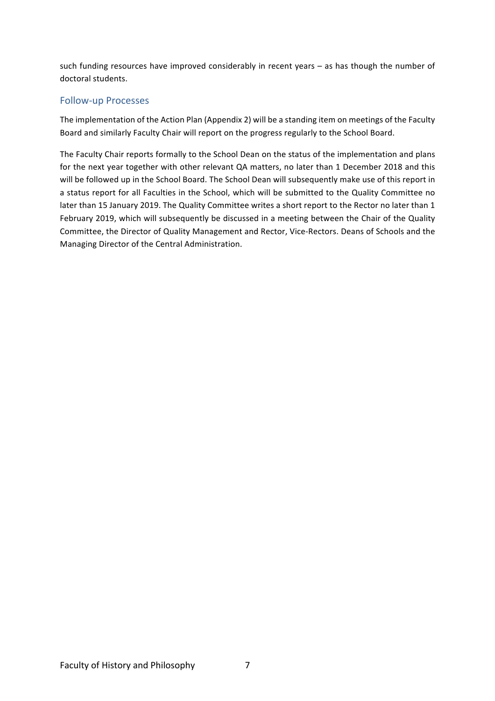such funding resources have improved considerably in recent years  $-$  as has though the number of doctoral students.

#### Follow-up Processes

The implementation of the Action Plan (Appendix 2) will be a standing item on meetings of the Faculty Board and similarly Faculty Chair will report on the progress regularly to the School Board.

The Faculty Chair reports formally to the School Dean on the status of the implementation and plans for the next year together with other relevant QA matters, no later than 1 December 2018 and this will be followed up in the School Board. The School Dean will subsequently make use of this report in a status report for all Faculties in the School, which will be submitted to the Quality Committee no later than 15 January 2019. The Quality Committee writes a short report to the Rector no later than 1 February 2019, which will subsequently be discussed in a meeting between the Chair of the Quality Committee, the Director of Quality Management and Rector, Vice-Rectors. Deans of Schools and the Managing Director of the Central Administration.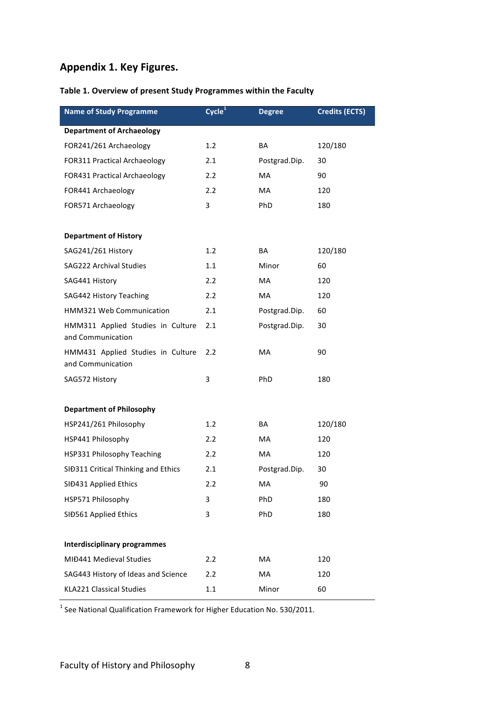#### **Appendix 1. Key Figures.**

#### Table 1. Overview of present Study Programmes within the Faculty

| <b>Name of Study Programme</b>                         | $\mathsf{Cycle}^1$ | <b>Degree</b> | <b>Credits (ECTS)</b> |
|--------------------------------------------------------|--------------------|---------------|-----------------------|
| <b>Department of Archaeology</b>                       |                    |               |                       |
| FOR241/261 Archaeology                                 | 1.2                | BA            | 120/180               |
| <b>FOR311 Practical Archaeology</b>                    | 2.1                | Postgrad.Dip. | 30                    |
| <b>FOR431 Practical Archaeology</b>                    | 2.2                | MA            | 90                    |
| FOR441 Archaeology                                     | 2.2                | <b>MA</b>     | 120                   |
| FOR571 Archaeology                                     | 3                  | PhD           | 180                   |
|                                                        |                    |               |                       |
| <b>Department of History</b>                           |                    |               |                       |
| SAG241/261 History                                     | 1.2                | BA            | 120/180               |
| SAG222 Archival Studies                                | 1.1                | Minor         | 60                    |
| SAG441 History                                         | 2.2                | MA            | 120                   |
| SAG442 History Teaching                                | 2.2                | MA            | 120                   |
| HMM321 Web Communication                               | 2.1                | Postgrad.Dip. | 60                    |
| HMM311 Applied Studies in Culture<br>and Communication | 2.1                | Postgrad.Dip. | 30                    |
| HMM431 Applied Studies in Culture<br>and Communication | 2.2                | MA            | 90                    |
| SAG572 History                                         | 3                  | PhD           | 180                   |
|                                                        |                    |               |                       |
| <b>Department of Philosophy</b>                        |                    |               |                       |
| HSP241/261 Philosophy                                  | 1.2                | BA            | 120/180               |
| HSP441 Philosophy                                      | 2.2                | MA            | 120                   |
| HSP331 Philosophy Teaching                             | 2.2                | МA            | 120                   |
| SIĐ311 Critical Thinking and Ethics                    | 2.1                | Postgrad.Dip. | 30                    |
| SIĐ431 Applied Ethics                                  | 2.2                | MA            | 90                    |
| HSP571 Philosophy                                      | 3                  | PhD           | 180                   |
| SIĐ561 Applied Ethics                                  | 3                  | PhD           | 180                   |
|                                                        |                    |               |                       |
| <b>Interdisciplinary programmes</b>                    |                    |               |                       |
| MIĐ441 Medieval Studies                                | 2.2                | МA            | 120                   |
| SAG443 History of Ideas and Science                    | 2.2                | МA            | 120                   |
| <b>KLA221 Classical Studies</b>                        | 1.1                | Minor         | 60                    |

 $1$  See National Qualification Framework for Higher Education No. 530/2011.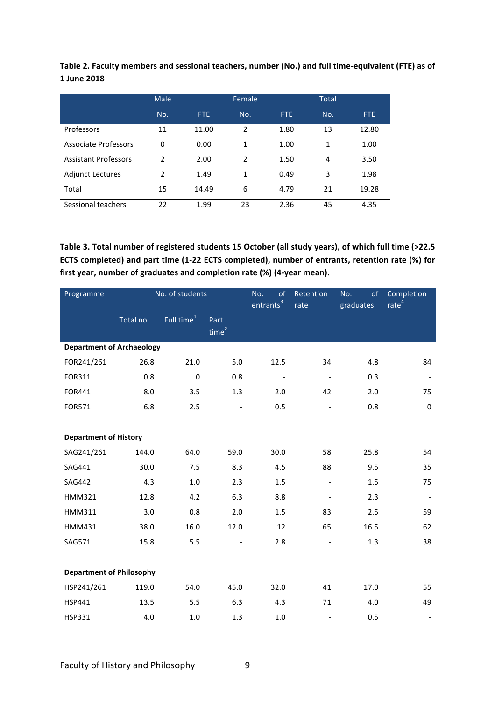| Table 2. Faculty members and sessional teachers, number (No.) and full time-equivalent (FTE) as of |  |
|----------------------------------------------------------------------------------------------------|--|
| 1 June 2018                                                                                        |  |

|                             | <b>Male</b>    |       | Female         |            | Total |       |
|-----------------------------|----------------|-------|----------------|------------|-------|-------|
|                             | No.            | FTE:  | No.            | <b>FTE</b> | No.   | FTE.  |
| Professors                  | 11             | 11.00 | $\overline{2}$ | 1.80       | 13    | 12.80 |
| Associate Professors        | $\Omega$       | 0.00  | 1              | 1.00       | 1     | 1.00  |
| <b>Assistant Professors</b> | $\mathfrak{p}$ | 2.00  | 2              | 1.50       | 4     | 3.50  |
| <b>Adjunct Lectures</b>     | $\overline{2}$ | 1.49  | 1              | 0.49       | 3     | 1.98  |
| Total                       | 15             | 14.49 | 6              | 4.79       | 21    | 19.28 |
| Sessional teachers          | 22             | 1.99  | 23             | 2.36       | 45    | 4.35  |

Table 3. Total number of registered students 15 October (all study years), of which full time (>22.5 ECTS completed) and part time (1-22 ECTS completed), number of entrants, retention rate (%) for first year, number of graduates and completion rate (%) (4-year mean).

| Programme                        | No. of students |               | of<br>No.<br>entrants <sup>3</sup> | Retention<br>rate        | of<br>No.<br>graduates   | Completion<br>rate <sup>4</sup> |                          |
|----------------------------------|-----------------|---------------|------------------------------------|--------------------------|--------------------------|---------------------------------|--------------------------|
|                                  | Total no.       | Full time $1$ | Part<br>time <sup>2</sup>          |                          |                          |                                 |                          |
| <b>Department of Archaeology</b> |                 |               |                                    |                          |                          |                                 |                          |
| FOR241/261                       | 26.8            | 21.0          | 5.0                                | 12.5                     | 34                       | 4.8                             | 84                       |
| FOR311                           | 0.8             | $\mathbf 0$   | 0.8                                | $\overline{\phantom{a}}$ | $\overline{\phantom{a}}$ | 0.3                             | $\overline{\phantom{a}}$ |
| FOR441                           | 8.0             | 3.5           | 1.3                                | 2.0                      | 42                       | 2.0                             | 75                       |
| <b>FOR571</b>                    | 6.8             | 2.5           | $\overline{\phantom{a}}$           | 0.5                      | $\overline{\phantom{a}}$ | 0.8                             | 0                        |
|                                  |                 |               |                                    |                          |                          |                                 |                          |
| <b>Department of History</b>     |                 |               |                                    |                          |                          |                                 |                          |
| SAG241/261                       | 144.0           | 64.0          | 59.0                               | 30.0                     | 58                       | 25.8                            | 54                       |
| SAG441                           | 30.0            | 7.5           | 8.3                                | 4.5                      | 88                       | 9.5                             | 35                       |
| <b>SAG442</b>                    | 4.3             | $1.0\,$       | 2.3                                | 1.5                      | $\overline{\phantom{a}}$ | 1.5                             | 75                       |
| <b>HMM321</b>                    | 12.8            | 4.2           | 6.3                                | 8.8                      | $\overline{\phantom{a}}$ | 2.3                             |                          |
| <b>HMM311</b>                    | 3.0             | 0.8           | 2.0                                | 1.5                      | 83                       | 2.5                             | 59                       |
| HMM431                           | 38.0            | 16.0          | 12.0                               | 12                       | 65                       | 16.5                            | 62                       |
| SAG571                           | 15.8            | 5.5           |                                    | 2.8                      |                          | 1.3                             | 38                       |
|                                  |                 |               |                                    |                          |                          |                                 |                          |
| <b>Department of Philosophy</b>  |                 |               |                                    |                          |                          |                                 |                          |
| HSP241/261                       | 119.0           | 54.0          | 45.0                               | 32.0                     | 41                       | 17.0                            | 55                       |
| <b>HSP441</b>                    | 13.5            | 5.5           | 6.3                                | 4.3                      | 71                       | 4.0                             | 49                       |
| <b>HSP331</b>                    | 4.0             | $1.0\,$       | 1.3                                | 1.0                      | $\overline{\phantom{a}}$ | 0.5                             |                          |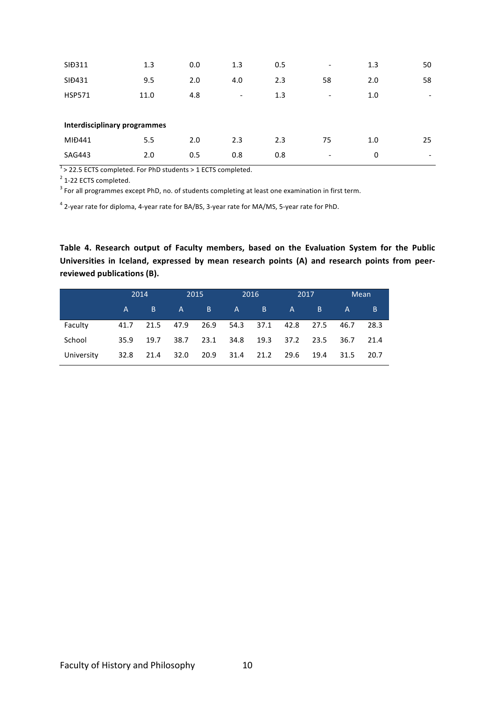| SIĐ311                              | 1.3  | 0.0 | 1.3                      | 0.5 | $\overline{\phantom{a}}$ | 1.3 | 50                       |
|-------------------------------------|------|-----|--------------------------|-----|--------------------------|-----|--------------------------|
| SID431                              | 9.5  | 2.0 | 4.0                      | 2.3 | 58                       | 2.0 | 58                       |
| <b>HSP571</b>                       | 11.0 | 4.8 | $\overline{\phantom{0}}$ | 1.3 | $\overline{\phantom{a}}$ | 1.0 | $\overline{\phantom{a}}$ |
|                                     |      |     |                          |     |                          |     |                          |
| <b>Interdisciplinary programmes</b> |      |     |                          |     |                          |     |                          |
| MIĐ441                              | 5.5  | 2.0 | 2.3                      | 2.3 | 75                       | 1.0 | 25                       |
|                                     |      |     |                          |     |                          |     |                          |

 $1$  > 22.5 ECTS completed. For PhD students > 1 ECTS completed.

 $2$  1-22 ECTS completed.

 $3$  For all programmes except PhD, no. of students completing at least one examination in first term.

 $4$  2-year rate for diploma, 4-year rate for BA/BS, 3-year rate for MA/MS, 5-year rate for PhD.

Table 4. Research output of Faculty members, based on the Evaluation System for the Public Universities in Iceland, expressed by mean research points (A) and research points from peerreviewed publications (B).

|            |                   | 2014 |                               | 2015    |           | 2016         |                  | 2017 |              | <b>Mean</b> |
|------------|-------------------|------|-------------------------------|---------|-----------|--------------|------------------|------|--------------|-------------|
|            | $A \qquad \qquad$ | B.   |                               | $A \tB$ | A         | <b>B</b> and | $\blacktriangle$ | B.   | $\mathsf{A}$ | B           |
| Faculty    | 41.7              |      | 21.5 47.9 26.9 54.3 37.1 42.8 |         |           |              |                  | 27.5 | 46.7         | 28.3        |
| School     | 35.9              | 19.7 | 38.7                          |         | 23.1 34.8 | 19.3 37.2    |                  | 23.5 | 36.7         | 21.4        |
| University | 32.8              | 21.4 | 32.0                          | 20.9    | 31.4      | 21.2         | 29.6             | 19.4 | 31.5         | 20.7        |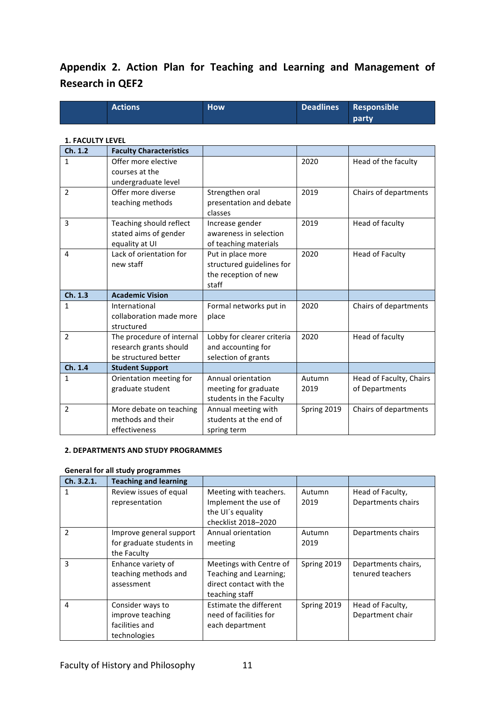### Appendix 2. Action Plan for Teaching and Learning and Management of **Research in QEF2**

| <b>Actions</b> | <b>How</b> | Deadlines Responsible |
|----------------|------------|-----------------------|
|                |            | party                 |

#### **1. FACULTY LEVEL**

| Ch. 1.2      | <b>Faculty Characteristics</b>     |                            |             |                         |
|--------------|------------------------------------|----------------------------|-------------|-------------------------|
| $\mathbf{1}$ | Offer more elective                |                            | 2020        | Head of the faculty     |
|              | courses at the                     |                            |             |                         |
|              | undergraduate level                |                            |             |                         |
| 2            | Offer more diverse                 | Strengthen oral            | 2019        | Chairs of departments   |
|              | teaching methods                   | presentation and debate    |             |                         |
|              |                                    | classes                    |             |                         |
| 3            | Teaching should reflect            | Increase gender            | 2019        | Head of faculty         |
|              | stated aims of gender              | awareness in selection     |             |                         |
|              | equality at UI                     | of teaching materials      |             |                         |
| 4            | Lack of orientation for            | Put in place more          | 2020        | <b>Head of Faculty</b>  |
|              | new staff                          | structured guidelines for  |             |                         |
|              |                                    | the reception of new       |             |                         |
|              |                                    | staff                      |             |                         |
| Ch. 1.3      | <b>Academic Vision</b>             |                            |             |                         |
| $\mathbf{1}$ | International                      | Formal networks put in     | 2020        | Chairs of departments   |
|              | collaboration made more            | place                      |             |                         |
|              |                                    |                            |             |                         |
|              | structured                         |                            |             |                         |
| 2            | The procedure of internal          | Lobby for clearer criteria | 2020        | Head of faculty         |
|              | research grants should             | and accounting for         |             |                         |
|              | be structured better               | selection of grants        |             |                         |
| Ch. 1.4      | <b>Student Support</b>             |                            |             |                         |
| $\mathbf{1}$ | Orientation meeting for            | Annual orientation         | Autumn      | Head of Faculty, Chairs |
|              | graduate student                   | meeting for graduate       | 2019        | of Departments          |
|              |                                    | students in the Faculty    |             |                         |
| 2            | More debate on teaching            | Annual meeting with        | Spring 2019 | Chairs of departments   |
|              | methods and their<br>effectiveness | students at the end of     |             |                         |

#### **2. DEPARTMENTS AND STUDY PROGRAMMES**

#### **General for all study programmes**

| Ch. 3.2.1. | <b>Teaching and learning</b> |                         |             |                     |
|------------|------------------------------|-------------------------|-------------|---------------------|
|            | Review issues of equal       | Meeting with teachers.  | Autumn      | Head of Faculty,    |
|            | representation               | Implement the use of    | 2019        | Departments chairs  |
|            |                              | the UI's equality       |             |                     |
|            |                              | checklist 2018-2020     |             |                     |
| 2          | Improve general support      | Annual orientation      | Autumn      | Departments chairs  |
|            | for graduate students in     | meeting                 | 2019        |                     |
|            | the Faculty                  |                         |             |                     |
| 3          | Enhance variety of           | Meetings with Centre of | Spring 2019 | Departments chairs, |
|            | teaching methods and         | Teaching and Learning;  |             | tenured teachers    |
|            | assessment                   | direct contact with the |             |                     |
|            |                              | teaching staff          |             |                     |
| 4          | Consider ways to             | Estimate the different  | Spring 2019 | Head of Faculty,    |
|            | improve teaching             | need of facilities for  |             | Department chair    |
|            | facilities and               | each department         |             |                     |
|            | technologies                 |                         |             |                     |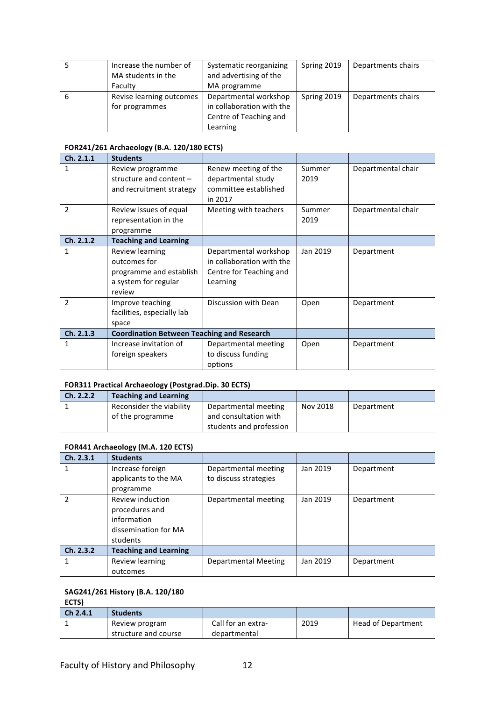|   | Increase the number of<br>MA students in the<br>Faculty | Systematic reorganizing<br>and advertising of the<br>MA programme                        | Spring 2019 | Departments chairs |
|---|---------------------------------------------------------|------------------------------------------------------------------------------------------|-------------|--------------------|
| b | Revise learning outcomes<br>for programmes              | Departmental workshop<br>in collaboration with the<br>Centre of Teaching and<br>Learning | Spring 2019 | Departments chairs |

#### **FOR241/261 Archaeology (B.A. 120/180 ECTS)**

| Ch. 2.1.1      | <b>Students</b>                                                                              |                                                                                           |                |                    |
|----------------|----------------------------------------------------------------------------------------------|-------------------------------------------------------------------------------------------|----------------|--------------------|
| 1              | Review programme<br>structure and content $-$<br>and recruitment strategy                    | Renew meeting of the<br>departmental study<br>committee established<br>in 2017            | Summer<br>2019 | Departmental chair |
| 2              | Review issues of equal<br>representation in the<br>programme                                 | Meeting with teachers                                                                     | Summer<br>2019 | Departmental chair |
| Ch. 2.1.2      | <b>Teaching and Learning</b>                                                                 |                                                                                           |                |                    |
| 1              | Review learning<br>outcomes for<br>programme and establish<br>a system for regular<br>review | Departmental workshop<br>in collaboration with the<br>Centre for Teaching and<br>Learning | Jan 2019       | Department         |
| $\mathfrak{p}$ | Improve teaching<br>facilities, especially lab<br>space                                      | Discussion with Dean                                                                      | Open           | Department         |
| Ch. 2.1.3      | <b>Coordination Between Teaching and Research</b>                                            |                                                                                           |                |                    |
| 1              | Increase invitation of<br>foreign speakers                                                   | Departmental meeting<br>to discuss funding<br>options                                     | Open           | Department         |

#### **FOR311 Practical Archaeology (Postgrad.Dip. 30 ECTS)**

| Ch. 2.2.2 | <b>Teaching and Learning</b> |                         |          |            |
|-----------|------------------------------|-------------------------|----------|------------|
|           | Reconsider the viability     | Departmental meeting    | Nov 2018 | Department |
|           | of the programme             | and consultation with   |          |            |
|           |                              | students and profession |          |            |

#### **FOR441 Archaeology (M.A. 120 ECTS)**

| Ch. 2.3.1 | <b>Students</b>              |                             |          |            |
|-----------|------------------------------|-----------------------------|----------|------------|
| 1         | Increase foreign             | Departmental meeting        | Jan 2019 | Department |
|           | applicants to the MA         | to discuss strategies       |          |            |
|           | programme                    |                             |          |            |
| 2         | <b>Review induction</b>      | Departmental meeting        | Jan 2019 | Department |
|           | procedures and               |                             |          |            |
|           | information                  |                             |          |            |
|           | dissemination for MA         |                             |          |            |
|           | students                     |                             |          |            |
| Ch. 2.3.2 | <b>Teaching and Learning</b> |                             |          |            |
| 1         | Review learning              | <b>Departmental Meeting</b> | Jan 2019 | Department |
|           | outcomes                     |                             |          |            |

#### SAG241/261 History (B.A. 120/180

**ECTS)**

| Ch 2.4.1 | <b>Students</b>      |                    |      |                           |
|----------|----------------------|--------------------|------|---------------------------|
|          | Review program       | Call for an extra- | 2019 | <b>Head of Department</b> |
|          | structure and course | departmental       |      |                           |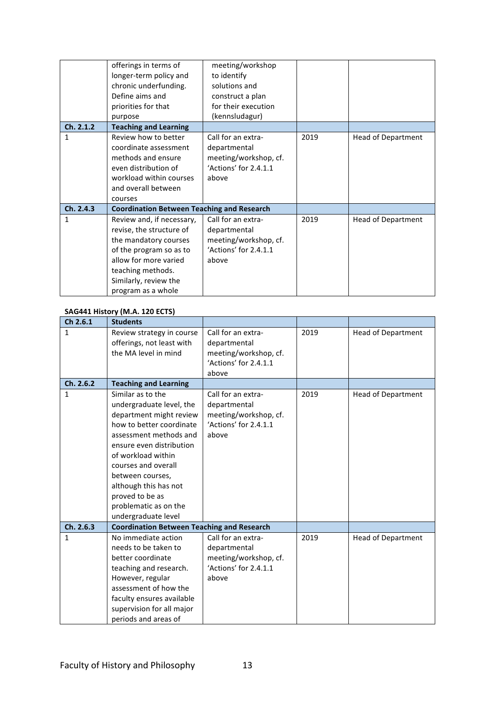|           | offerings in terms of<br>longer-term policy and<br>chronic underfunding.<br>Define aims and<br>priorities for that<br>purpose                                                                          | meeting/workshop<br>to identify<br>solutions and<br>construct a plan<br>for their execution<br>(kennsludagur) |      |                           |
|-----------|--------------------------------------------------------------------------------------------------------------------------------------------------------------------------------------------------------|---------------------------------------------------------------------------------------------------------------|------|---------------------------|
| Ch. 2.1.2 | <b>Teaching and Learning</b>                                                                                                                                                                           |                                                                                                               |      |                           |
| 1         | Review how to better<br>coordinate assessment<br>methods and ensure<br>even distribution of<br>workload within courses<br>and overall between<br>courses                                               | Call for an extra-<br>departmental<br>meeting/workshop, cf.<br>'Actions' for 2.4.1.1<br>above                 | 2019 | Head of Department        |
| Ch. 2.4.3 | <b>Coordination Between Teaching and Research</b>                                                                                                                                                      |                                                                                                               |      |                           |
| 1         | Review and, if necessary,<br>revise, the structure of<br>the mandatory courses<br>of the program so as to<br>allow for more varied<br>teaching methods.<br>Similarly, review the<br>program as a whole | Call for an extra-<br>departmental<br>meeting/workshop, cf.<br>'Actions' for 2.4.1.1<br>above                 | 2019 | <b>Head of Department</b> |

#### **SAG441 History (M.A. 120 ECTS)**

| Ch 2.6.1     | <b>Students</b>                                        |                                                |      |                           |
|--------------|--------------------------------------------------------|------------------------------------------------|------|---------------------------|
| $\mathbf{1}$ | Review strategy in course<br>offerings, not least with | Call for an extra-<br>departmental             | 2019 | <b>Head of Department</b> |
|              | the MA level in mind                                   |                                                |      |                           |
|              |                                                        | meeting/workshop, cf.<br>'Actions' for 2.4.1.1 |      |                           |
|              |                                                        | above                                          |      |                           |
| Ch. 2.6.2    | <b>Teaching and Learning</b>                           |                                                |      |                           |
|              |                                                        |                                                |      |                           |
| $\mathbf{1}$ | Similar as to the                                      | Call for an extra-                             | 2019 | <b>Head of Department</b> |
|              | undergraduate level, the                               | departmental                                   |      |                           |
|              | department might review                                | meeting/workshop, cf.                          |      |                           |
|              | how to better coordinate                               | 'Actions' for 2.4.1.1                          |      |                           |
|              | assessment methods and                                 | above                                          |      |                           |
|              | ensure even distribution                               |                                                |      |                           |
|              | of workload within                                     |                                                |      |                           |
|              | courses and overall                                    |                                                |      |                           |
|              | between courses,                                       |                                                |      |                           |
|              | although this has not                                  |                                                |      |                           |
|              | proved to be as                                        |                                                |      |                           |
|              | problematic as on the                                  |                                                |      |                           |
|              | undergraduate level                                    |                                                |      |                           |
| Ch. 2.6.3    | <b>Coordination Between Teaching and Research</b>      |                                                |      |                           |
| $\mathbf{1}$ | No immediate action                                    | Call for an extra-                             | 2019 | <b>Head of Department</b> |
|              | needs to be taken to                                   | departmental                                   |      |                           |
|              | better coordinate                                      | meeting/workshop, cf.                          |      |                           |
|              | teaching and research.                                 | 'Actions' for 2.4.1.1                          |      |                           |
|              | However, regular                                       | above                                          |      |                           |
|              | assessment of how the                                  |                                                |      |                           |
|              | faculty ensures available                              |                                                |      |                           |
|              | supervision for all major                              |                                                |      |                           |
|              | periods and areas of                                   |                                                |      |                           |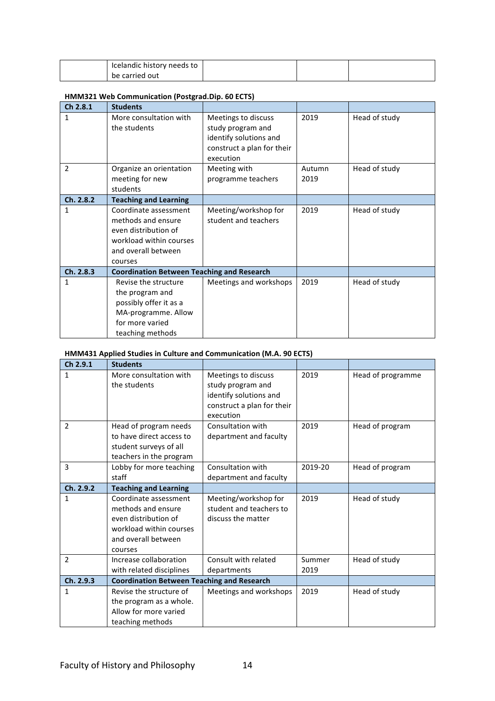| Icelandic history needs to |  |  |
|----------------------------|--|--|
| be carried out             |  |  |

#### **HMM321** Web Communication (Postgrad.Dip. 60 ECTS)

| Ch 2.8.1     | <b>Students</b>                                   |                            |        |               |
|--------------|---------------------------------------------------|----------------------------|--------|---------------|
| 1            | More consultation with                            | Meetings to discuss        | 2019   | Head of study |
|              | the students                                      | study program and          |        |               |
|              |                                                   | identify solutions and     |        |               |
|              |                                                   | construct a plan for their |        |               |
|              |                                                   | execution                  |        |               |
| 2            | Organize an orientation                           | Meeting with               | Autumn | Head of study |
|              | meeting for new                                   | programme teachers         | 2019   |               |
|              | students                                          |                            |        |               |
| Ch. 2.8.2    | <b>Teaching and Learning</b>                      |                            |        |               |
| $\mathbf{1}$ | Coordinate assessment                             | Meeting/workshop for       | 2019   | Head of study |
|              | methods and ensure                                | student and teachers       |        |               |
|              | even distribution of                              |                            |        |               |
|              | workload within courses                           |                            |        |               |
|              | and overall between                               |                            |        |               |
|              | courses                                           |                            |        |               |
| Ch. 2.8.3    | <b>Coordination Between Teaching and Research</b> |                            |        |               |
| 1            | Revise the structure                              | Meetings and workshops     | 2019   | Head of study |
|              | the program and                                   |                            |        |               |
|              | possibly offer it as a                            |                            |        |               |
|              | MA-programme. Allow                               |                            |        |               |
|              | for more varied                                   |                            |        |               |
|              | teaching methods                                  |                            |        |               |

#### **HMM431** Applied Studies in Culture and Communication (M.A. 90 ECTS)

| Ch 2.9.1  | <b>Students</b>                                   |                            |         |                   |
|-----------|---------------------------------------------------|----------------------------|---------|-------------------|
| 1         | More consultation with                            | Meetings to discuss        | 2019    | Head of programme |
|           | the students                                      | study program and          |         |                   |
|           |                                                   | identify solutions and     |         |                   |
|           |                                                   | construct a plan for their |         |                   |
|           |                                                   | execution                  |         |                   |
| 2         | Head of program needs                             | Consultation with          | 2019    | Head of program   |
|           | to have direct access to                          | department and faculty     |         |                   |
|           | student surveys of all                            |                            |         |                   |
|           | teachers in the program                           |                            |         |                   |
| 3         | Lobby for more teaching                           | Consultation with          | 2019-20 | Head of program   |
|           | staff                                             | department and faculty     |         |                   |
| Ch. 2.9.2 | <b>Teaching and Learning</b>                      |                            |         |                   |
| 1         | Coordinate assessment                             | Meeting/workshop for       | 2019    | Head of study     |
|           | methods and ensure                                | student and teachers to    |         |                   |
|           | even distribution of                              | discuss the matter         |         |                   |
|           | workload within courses                           |                            |         |                   |
|           | and overall between                               |                            |         |                   |
|           | courses                                           |                            |         |                   |
| 2         | Increase collaboration                            | Consult with related       | Summer  | Head of study     |
|           | with related disciplines                          | departments                | 2019    |                   |
| Ch. 2.9.3 | <b>Coordination Between Teaching and Research</b> |                            |         |                   |
| 1         | Revise the structure of                           | Meetings and workshops     | 2019    | Head of study     |
|           | the program as a whole.                           |                            |         |                   |
|           | Allow for more varied                             |                            |         |                   |
|           | teaching methods                                  |                            |         |                   |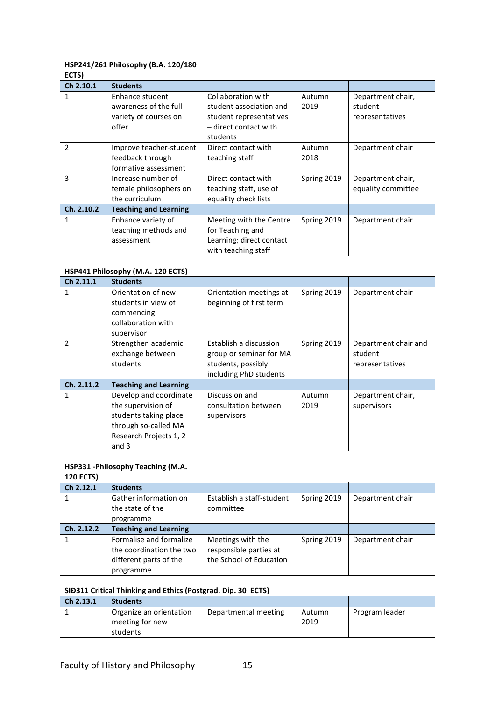#### **HSP241/261 Philosophy (B.A. 120/180**

| M.<br>۰. | on the | × |  |
|----------|--------|---|--|
|          |        |   |  |

| Ch 2.10.1  | <b>Students</b>              |                          |             |                    |
|------------|------------------------------|--------------------------|-------------|--------------------|
| 1          | Enhance student              | Collaboration with       | Autumn      | Department chair,  |
|            | awareness of the full        | student association and  | 2019        | student            |
|            | variety of courses on        | student representatives  |             | representatives    |
|            | offer                        | - direct contact with    |             |                    |
|            |                              | students                 |             |                    |
| 2          | Improve teacher-student      | Direct contact with      | Autumn      | Department chair   |
|            | feedback through             | teaching staff           | 2018        |                    |
|            | formative assessment         |                          |             |                    |
| 3          | Increase number of           | Direct contact with      | Spring 2019 | Department chair,  |
|            | female philosophers on       | teaching staff, use of   |             | equality committee |
|            | the curriculum               | equality check lists     |             |                    |
| Ch. 2.10.2 | <b>Teaching and Learning</b> |                          |             |                    |
| 1          | Enhance variety of           | Meeting with the Centre  | Spring 2019 | Department chair   |
|            | teaching methods and         | for Teaching and         |             |                    |
|            | assessment                   | Learning; direct contact |             |                    |
|            |                              | with teaching staff      |             |                    |

#### **HSP441 Philosophy (M.A. 120 ECTS)**

| Ch 2.11.1     | <b>Students</b>                                                                                                                  |                                                                                                   |                |                                                    |
|---------------|----------------------------------------------------------------------------------------------------------------------------------|---------------------------------------------------------------------------------------------------|----------------|----------------------------------------------------|
| 1             | Orientation of new<br>students in view of<br>commencing<br>collaboration with<br>supervisor                                      | Orientation meetings at<br>beginning of first term                                                | Spring 2019    | Department chair                                   |
| $\mathfrak z$ | Strengthen academic<br>exchange between<br>students                                                                              | Establish a discussion<br>group or seminar for MA<br>students, possibly<br>including PhD students | Spring 2019    | Department chair and<br>student<br>representatives |
| Ch. 2.11.2    | <b>Teaching and Learning</b>                                                                                                     |                                                                                                   |                |                                                    |
| 1             | Develop and coordinate<br>the supervision of<br>students taking place<br>through so-called MA<br>Research Projects 1, 2<br>and 3 | Discussion and<br>consultation between<br>supervisors                                             | Autumn<br>2019 | Department chair,<br>supervisors                   |

#### **HSP331 -Philosophy Teaching (M.A.**

#### **120 ECTS)**

| Ch 2.12.1  | <b>Students</b>              |                           |             |                  |
|------------|------------------------------|---------------------------|-------------|------------------|
|            | Gather information on        | Establish a staff-student | Spring 2019 | Department chair |
|            | the state of the             | committee                 |             |                  |
|            | programme                    |                           |             |                  |
| Ch. 2.12.2 | <b>Teaching and Learning</b> |                           |             |                  |
|            | Formalise and formalize      | Meetings with the         | Spring 2019 | Department chair |
|            | the coordination the two     | responsible parties at    |             |                  |
|            | different parts of the       | the School of Education   |             |                  |
|            | programme                    |                           |             |                  |

#### **SIĐ311 Critical Thinking and Ethics (Postgrad. Dip. 30 ECTS)**

| Ch 2.13.1 | <b>Students</b>         |                      |        |                |
|-----------|-------------------------|----------------------|--------|----------------|
|           | Organize an orientation | Departmental meeting | Autumn | Program leader |
|           | meeting for new         |                      | 2019   |                |
|           | students                |                      |        |                |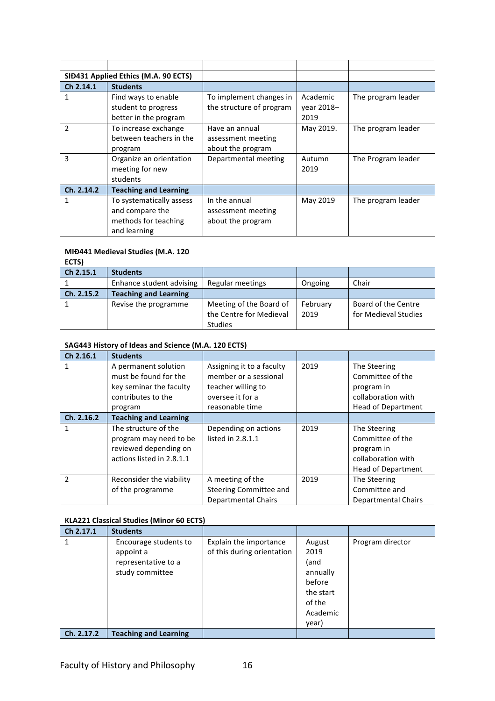| SID431 Applied Ethics (M.A. 90 ECTS) |                              |                          |            |                    |
|--------------------------------------|------------------------------|--------------------------|------------|--------------------|
| Ch 2.14.1                            | <b>Students</b>              |                          |            |                    |
|                                      | Find ways to enable          | To implement changes in  | Academic   | The program leader |
|                                      | student to progress          | the structure of program | vear 2018- |                    |
|                                      | better in the program        |                          | 2019       |                    |
| $\mathfrak{p}$                       | To increase exchange         | Have an annual           | May 2019.  | The program leader |
|                                      | between teachers in the      | assessment meeting       |            |                    |
|                                      | program                      | about the program        |            |                    |
| 3                                    | Organize an orientation      | Departmental meeting     | Autumn     | The Program leader |
|                                      | meeting for new              |                          | 2019       |                    |
|                                      | students                     |                          |            |                    |
| Ch. 2.14.2                           | <b>Teaching and Learning</b> |                          |            |                    |
| 1                                    | To systematically assess     | In the annual            | May 2019   | The program leader |
|                                      | and compare the              | assessment meeting       |            |                    |
|                                      | methods for teaching         | about the program        |            |                    |
|                                      | and learning                 |                          |            |                    |

#### **MIĐ441 Medieval Studies (M.A. 120**

**ECTS)**

| Ch 2.15.1  | <b>Students</b>              |                         |          |                      |
|------------|------------------------------|-------------------------|----------|----------------------|
|            | Enhance student advising     | Regular meetings        | Ongoing  | Chair                |
| Ch. 2.15.2 | <b>Teaching and Learning</b> |                         |          |                      |
|            | Revise the programme         | Meeting of the Board of | February | Board of the Centre  |
|            |                              | the Centre for Medieval | 2019     | for Medieval Studies |
|            |                              | <b>Studies</b>          |          |                      |

#### SAG443 History of Ideas and Science (M.A. 120 ECTS)

| Ch 2.16.1     | <b>Students</b>              |                               |      |                            |
|---------------|------------------------------|-------------------------------|------|----------------------------|
| 1             | A permanent solution         | Assigning it to a faculty     | 2019 | The Steering               |
|               | must be found for the        | member or a sessional         |      | Committee of the           |
|               | key seminar the faculty      | teacher willing to            |      | program in                 |
|               | contributes to the           | oversee it for a              |      | collaboration with         |
|               | program                      | reasonable time               |      | <b>Head of Department</b>  |
| Ch. 2.16.2    | <b>Teaching and Learning</b> |                               |      |                            |
|               | The structure of the         | Depending on actions          | 2019 | The Steering               |
|               | program may need to be       | listed in 2.8.1.1             |      | Committee of the           |
|               | reviewed depending on        |                               |      | program in                 |
|               | actions listed in 2.8.1.1    |                               |      | collaboration with         |
|               |                              |                               |      | <b>Head of Department</b>  |
| $\mathfrak z$ | Reconsider the viability     | A meeting of the              | 2019 | The Steering               |
|               | of the programme             | <b>Steering Committee and</b> |      | Committee and              |
|               |                              | <b>Departmental Chairs</b>    |      | <b>Departmental Chairs</b> |

#### **KLA221 Classical Studies (Minor 60 ECTS)**

| Ch 2.17.1  | <b>Students</b>                                                              |                                                      |                                                    |                  |
|------------|------------------------------------------------------------------------------|------------------------------------------------------|----------------------------------------------------|------------------|
|            | Encourage students to<br>appoint a<br>representative to a<br>study committee | Explain the importance<br>of this during orientation | August<br>2019<br>(and<br>annually                 | Program director |
|            |                                                                              |                                                      | before<br>the start<br>of the<br>Academic<br>year) |                  |
| Ch. 2.17.2 | <b>Teaching and Learning</b>                                                 |                                                      |                                                    |                  |